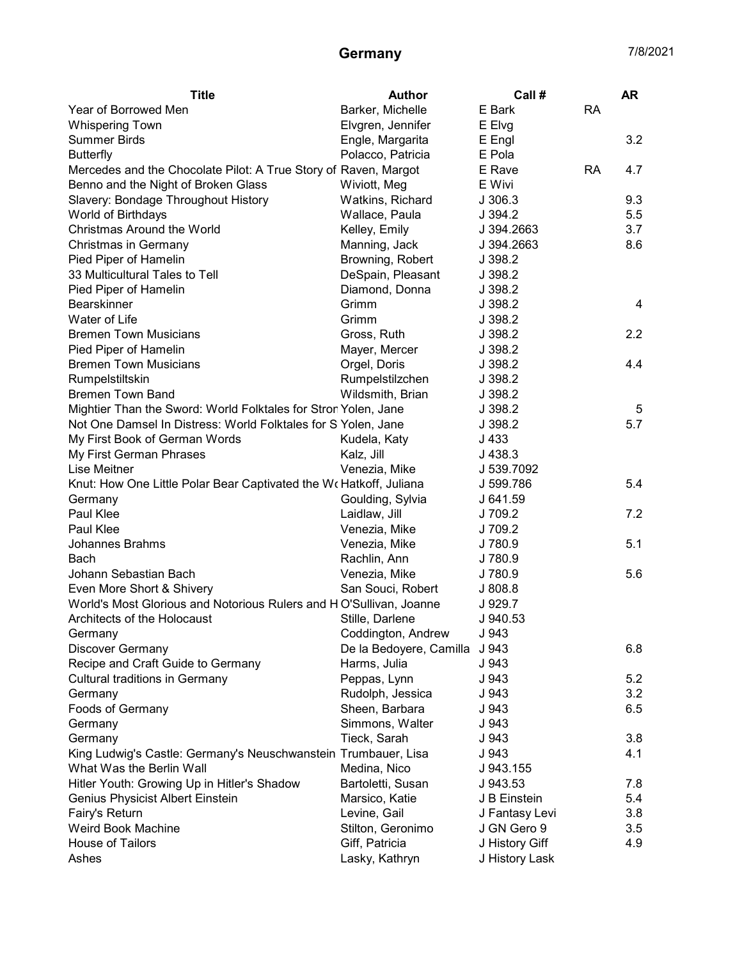## Germany 7/8/2021

| Year of Borrowed Men<br>Barker, Michelle<br>E Bark<br><b>RA</b><br>Elvgren, Jennifer<br><b>Whispering Town</b><br>E Elvg<br><b>Summer Birds</b><br>3.2<br>Engle, Margarita<br>E Engl<br>Polacco, Patricia<br>E Pola<br><b>Butterfly</b><br>E Rave<br>Mercedes and the Chocolate Pilot: A True Story of Raven, Margot<br><b>RA</b><br>4.7<br>Benno and the Night of Broken Glass<br>E Wivi<br>Wiviott, Meg<br>Slavery: Bondage Throughout History<br>J 306.3<br>9.3<br>Watkins, Richard<br>5.5<br>World of Birthdays<br>J 394.2<br>Wallace, Paula<br>Christmas Around the World<br>J 394.2663<br>3.7<br>Kelley, Emily<br><b>Christmas in Germany</b><br>Manning, Jack<br>J 394.2663<br>8.6<br>Pied Piper of Hamelin<br>Browning, Robert<br>J 398.2<br>33 Multicultural Tales to Tell<br>DeSpain, Pleasant<br>J 398.2<br>Pied Piper of Hamelin<br>Diamond, Donna<br>J 398.2<br><b>Bearskinner</b><br>Grimm<br>J 398.2<br>4<br>Water of Life<br>Grimm<br>J 398.2<br><b>Bremen Town Musicians</b><br>J 398.2<br>2.2<br>Gross, Ruth<br>Pied Piper of Hamelin<br>J 398.2<br>Mayer, Mercer<br><b>Bremen Town Musicians</b><br>4.4<br>Orgel, Doris<br>J 398.2<br>Rumpelstiltskin<br>Rumpelstilzchen<br>J 398.2<br><b>Bremen Town Band</b><br>Wildsmith, Brian<br>J 398.2<br>J 398.2<br>Mightier Than the Sword: World Folktales for Stron Yolen, Jane<br>5<br>5.7<br>Not One Damsel In Distress: World Folktales for S Yolen, Jane<br>J 398.2<br>My First Book of German Words<br>Kudela, Katy<br>J 433<br>My First German Phrases<br>J 438.3<br>Kalz, Jill<br>Lise Meitner<br>J 539.7092<br>Venezia, Mike<br>Knut: How One Little Polar Bear Captivated the Wo Hatkoff, Juliana<br>J 599.786<br>5.4<br>Goulding, Sylvia<br>J 641.59<br>Germany<br>Paul Klee<br>Laidlaw, Jill<br>7.2<br>J 709.2 |
|-----------------------------------------------------------------------------------------------------------------------------------------------------------------------------------------------------------------------------------------------------------------------------------------------------------------------------------------------------------------------------------------------------------------------------------------------------------------------------------------------------------------------------------------------------------------------------------------------------------------------------------------------------------------------------------------------------------------------------------------------------------------------------------------------------------------------------------------------------------------------------------------------------------------------------------------------------------------------------------------------------------------------------------------------------------------------------------------------------------------------------------------------------------------------------------------------------------------------------------------------------------------------------------------------------------------------------------------------------------------------------------------------------------------------------------------------------------------------------------------------------------------------------------------------------------------------------------------------------------------------------------------------------------------------------------------------------------------------------------------------------------------------------------------|
|                                                                                                                                                                                                                                                                                                                                                                                                                                                                                                                                                                                                                                                                                                                                                                                                                                                                                                                                                                                                                                                                                                                                                                                                                                                                                                                                                                                                                                                                                                                                                                                                                                                                                                                                                                                         |
|                                                                                                                                                                                                                                                                                                                                                                                                                                                                                                                                                                                                                                                                                                                                                                                                                                                                                                                                                                                                                                                                                                                                                                                                                                                                                                                                                                                                                                                                                                                                                                                                                                                                                                                                                                                         |
|                                                                                                                                                                                                                                                                                                                                                                                                                                                                                                                                                                                                                                                                                                                                                                                                                                                                                                                                                                                                                                                                                                                                                                                                                                                                                                                                                                                                                                                                                                                                                                                                                                                                                                                                                                                         |
|                                                                                                                                                                                                                                                                                                                                                                                                                                                                                                                                                                                                                                                                                                                                                                                                                                                                                                                                                                                                                                                                                                                                                                                                                                                                                                                                                                                                                                                                                                                                                                                                                                                                                                                                                                                         |
|                                                                                                                                                                                                                                                                                                                                                                                                                                                                                                                                                                                                                                                                                                                                                                                                                                                                                                                                                                                                                                                                                                                                                                                                                                                                                                                                                                                                                                                                                                                                                                                                                                                                                                                                                                                         |
|                                                                                                                                                                                                                                                                                                                                                                                                                                                                                                                                                                                                                                                                                                                                                                                                                                                                                                                                                                                                                                                                                                                                                                                                                                                                                                                                                                                                                                                                                                                                                                                                                                                                                                                                                                                         |
|                                                                                                                                                                                                                                                                                                                                                                                                                                                                                                                                                                                                                                                                                                                                                                                                                                                                                                                                                                                                                                                                                                                                                                                                                                                                                                                                                                                                                                                                                                                                                                                                                                                                                                                                                                                         |
|                                                                                                                                                                                                                                                                                                                                                                                                                                                                                                                                                                                                                                                                                                                                                                                                                                                                                                                                                                                                                                                                                                                                                                                                                                                                                                                                                                                                                                                                                                                                                                                                                                                                                                                                                                                         |
|                                                                                                                                                                                                                                                                                                                                                                                                                                                                                                                                                                                                                                                                                                                                                                                                                                                                                                                                                                                                                                                                                                                                                                                                                                                                                                                                                                                                                                                                                                                                                                                                                                                                                                                                                                                         |
|                                                                                                                                                                                                                                                                                                                                                                                                                                                                                                                                                                                                                                                                                                                                                                                                                                                                                                                                                                                                                                                                                                                                                                                                                                                                                                                                                                                                                                                                                                                                                                                                                                                                                                                                                                                         |
|                                                                                                                                                                                                                                                                                                                                                                                                                                                                                                                                                                                                                                                                                                                                                                                                                                                                                                                                                                                                                                                                                                                                                                                                                                                                                                                                                                                                                                                                                                                                                                                                                                                                                                                                                                                         |
|                                                                                                                                                                                                                                                                                                                                                                                                                                                                                                                                                                                                                                                                                                                                                                                                                                                                                                                                                                                                                                                                                                                                                                                                                                                                                                                                                                                                                                                                                                                                                                                                                                                                                                                                                                                         |
|                                                                                                                                                                                                                                                                                                                                                                                                                                                                                                                                                                                                                                                                                                                                                                                                                                                                                                                                                                                                                                                                                                                                                                                                                                                                                                                                                                                                                                                                                                                                                                                                                                                                                                                                                                                         |
|                                                                                                                                                                                                                                                                                                                                                                                                                                                                                                                                                                                                                                                                                                                                                                                                                                                                                                                                                                                                                                                                                                                                                                                                                                                                                                                                                                                                                                                                                                                                                                                                                                                                                                                                                                                         |
|                                                                                                                                                                                                                                                                                                                                                                                                                                                                                                                                                                                                                                                                                                                                                                                                                                                                                                                                                                                                                                                                                                                                                                                                                                                                                                                                                                                                                                                                                                                                                                                                                                                                                                                                                                                         |
|                                                                                                                                                                                                                                                                                                                                                                                                                                                                                                                                                                                                                                                                                                                                                                                                                                                                                                                                                                                                                                                                                                                                                                                                                                                                                                                                                                                                                                                                                                                                                                                                                                                                                                                                                                                         |
|                                                                                                                                                                                                                                                                                                                                                                                                                                                                                                                                                                                                                                                                                                                                                                                                                                                                                                                                                                                                                                                                                                                                                                                                                                                                                                                                                                                                                                                                                                                                                                                                                                                                                                                                                                                         |
|                                                                                                                                                                                                                                                                                                                                                                                                                                                                                                                                                                                                                                                                                                                                                                                                                                                                                                                                                                                                                                                                                                                                                                                                                                                                                                                                                                                                                                                                                                                                                                                                                                                                                                                                                                                         |
|                                                                                                                                                                                                                                                                                                                                                                                                                                                                                                                                                                                                                                                                                                                                                                                                                                                                                                                                                                                                                                                                                                                                                                                                                                                                                                                                                                                                                                                                                                                                                                                                                                                                                                                                                                                         |
|                                                                                                                                                                                                                                                                                                                                                                                                                                                                                                                                                                                                                                                                                                                                                                                                                                                                                                                                                                                                                                                                                                                                                                                                                                                                                                                                                                                                                                                                                                                                                                                                                                                                                                                                                                                         |
|                                                                                                                                                                                                                                                                                                                                                                                                                                                                                                                                                                                                                                                                                                                                                                                                                                                                                                                                                                                                                                                                                                                                                                                                                                                                                                                                                                                                                                                                                                                                                                                                                                                                                                                                                                                         |
|                                                                                                                                                                                                                                                                                                                                                                                                                                                                                                                                                                                                                                                                                                                                                                                                                                                                                                                                                                                                                                                                                                                                                                                                                                                                                                                                                                                                                                                                                                                                                                                                                                                                                                                                                                                         |
|                                                                                                                                                                                                                                                                                                                                                                                                                                                                                                                                                                                                                                                                                                                                                                                                                                                                                                                                                                                                                                                                                                                                                                                                                                                                                                                                                                                                                                                                                                                                                                                                                                                                                                                                                                                         |
|                                                                                                                                                                                                                                                                                                                                                                                                                                                                                                                                                                                                                                                                                                                                                                                                                                                                                                                                                                                                                                                                                                                                                                                                                                                                                                                                                                                                                                                                                                                                                                                                                                                                                                                                                                                         |
|                                                                                                                                                                                                                                                                                                                                                                                                                                                                                                                                                                                                                                                                                                                                                                                                                                                                                                                                                                                                                                                                                                                                                                                                                                                                                                                                                                                                                                                                                                                                                                                                                                                                                                                                                                                         |
|                                                                                                                                                                                                                                                                                                                                                                                                                                                                                                                                                                                                                                                                                                                                                                                                                                                                                                                                                                                                                                                                                                                                                                                                                                                                                                                                                                                                                                                                                                                                                                                                                                                                                                                                                                                         |
|                                                                                                                                                                                                                                                                                                                                                                                                                                                                                                                                                                                                                                                                                                                                                                                                                                                                                                                                                                                                                                                                                                                                                                                                                                                                                                                                                                                                                                                                                                                                                                                                                                                                                                                                                                                         |
|                                                                                                                                                                                                                                                                                                                                                                                                                                                                                                                                                                                                                                                                                                                                                                                                                                                                                                                                                                                                                                                                                                                                                                                                                                                                                                                                                                                                                                                                                                                                                                                                                                                                                                                                                                                         |
| Paul Klee<br>J 709.2<br>Venezia, Mike                                                                                                                                                                                                                                                                                                                                                                                                                                                                                                                                                                                                                                                                                                                                                                                                                                                                                                                                                                                                                                                                                                                                                                                                                                                                                                                                                                                                                                                                                                                                                                                                                                                                                                                                                   |
| <b>Johannes Brahms</b><br>J 780.9<br>5.1<br>Venezia, Mike                                                                                                                                                                                                                                                                                                                                                                                                                                                                                                                                                                                                                                                                                                                                                                                                                                                                                                                                                                                                                                                                                                                                                                                                                                                                                                                                                                                                                                                                                                                                                                                                                                                                                                                               |
| Rachlin, Ann<br>J 780.9<br>Bach                                                                                                                                                                                                                                                                                                                                                                                                                                                                                                                                                                                                                                                                                                                                                                                                                                                                                                                                                                                                                                                                                                                                                                                                                                                                                                                                                                                                                                                                                                                                                                                                                                                                                                                                                         |
| Johann Sebastian Bach<br>5.6<br>Venezia, Mike<br>J 780.9                                                                                                                                                                                                                                                                                                                                                                                                                                                                                                                                                                                                                                                                                                                                                                                                                                                                                                                                                                                                                                                                                                                                                                                                                                                                                                                                                                                                                                                                                                                                                                                                                                                                                                                                |
| Even More Short & Shivery<br>San Souci, Robert<br>J808.8                                                                                                                                                                                                                                                                                                                                                                                                                                                                                                                                                                                                                                                                                                                                                                                                                                                                                                                                                                                                                                                                                                                                                                                                                                                                                                                                                                                                                                                                                                                                                                                                                                                                                                                                |
| World's Most Glorious and Notorious Rulers and HO'Sullivan, Joanne<br>J 929.7                                                                                                                                                                                                                                                                                                                                                                                                                                                                                                                                                                                                                                                                                                                                                                                                                                                                                                                                                                                                                                                                                                                                                                                                                                                                                                                                                                                                                                                                                                                                                                                                                                                                                                           |
| Architects of the Holocaust<br>Stille, Darlene<br>J 940.53                                                                                                                                                                                                                                                                                                                                                                                                                                                                                                                                                                                                                                                                                                                                                                                                                                                                                                                                                                                                                                                                                                                                                                                                                                                                                                                                                                                                                                                                                                                                                                                                                                                                                                                              |
| Coddington, Andrew<br>J 943<br>Germany                                                                                                                                                                                                                                                                                                                                                                                                                                                                                                                                                                                                                                                                                                                                                                                                                                                                                                                                                                                                                                                                                                                                                                                                                                                                                                                                                                                                                                                                                                                                                                                                                                                                                                                                                  |
| 6.8<br><b>Discover Germany</b><br>De la Bedoyere, Camilla<br>J 943                                                                                                                                                                                                                                                                                                                                                                                                                                                                                                                                                                                                                                                                                                                                                                                                                                                                                                                                                                                                                                                                                                                                                                                                                                                                                                                                                                                                                                                                                                                                                                                                                                                                                                                      |
| J 943<br>Recipe and Craft Guide to Germany<br>Harms, Julia                                                                                                                                                                                                                                                                                                                                                                                                                                                                                                                                                                                                                                                                                                                                                                                                                                                                                                                                                                                                                                                                                                                                                                                                                                                                                                                                                                                                                                                                                                                                                                                                                                                                                                                              |
| J 943<br>5.2<br><b>Cultural traditions in Germany</b><br>Peppas, Lynn                                                                                                                                                                                                                                                                                                                                                                                                                                                                                                                                                                                                                                                                                                                                                                                                                                                                                                                                                                                                                                                                                                                                                                                                                                                                                                                                                                                                                                                                                                                                                                                                                                                                                                                   |
| 3.2<br>Germany<br>Rudolph, Jessica<br>J 943                                                                                                                                                                                                                                                                                                                                                                                                                                                                                                                                                                                                                                                                                                                                                                                                                                                                                                                                                                                                                                                                                                                                                                                                                                                                                                                                                                                                                                                                                                                                                                                                                                                                                                                                             |
| 6.5<br>Foods of Germany<br>Sheen, Barbara<br>J 943                                                                                                                                                                                                                                                                                                                                                                                                                                                                                                                                                                                                                                                                                                                                                                                                                                                                                                                                                                                                                                                                                                                                                                                                                                                                                                                                                                                                                                                                                                                                                                                                                                                                                                                                      |
| Simmons, Walter<br>J 943<br>Germany                                                                                                                                                                                                                                                                                                                                                                                                                                                                                                                                                                                                                                                                                                                                                                                                                                                                                                                                                                                                                                                                                                                                                                                                                                                                                                                                                                                                                                                                                                                                                                                                                                                                                                                                                     |
| Tieck, Sarah<br>3.8<br>Germany<br>J 943                                                                                                                                                                                                                                                                                                                                                                                                                                                                                                                                                                                                                                                                                                                                                                                                                                                                                                                                                                                                                                                                                                                                                                                                                                                                                                                                                                                                                                                                                                                                                                                                                                                                                                                                                 |
| King Ludwig's Castle: Germany's Neuschwanstein Trumbauer, Lisa<br>4.1<br>J 943                                                                                                                                                                                                                                                                                                                                                                                                                                                                                                                                                                                                                                                                                                                                                                                                                                                                                                                                                                                                                                                                                                                                                                                                                                                                                                                                                                                                                                                                                                                                                                                                                                                                                                          |
| What Was the Berlin Wall<br>Medina, Nico<br>J 943.155                                                                                                                                                                                                                                                                                                                                                                                                                                                                                                                                                                                                                                                                                                                                                                                                                                                                                                                                                                                                                                                                                                                                                                                                                                                                                                                                                                                                                                                                                                                                                                                                                                                                                                                                   |
| Hitler Youth: Growing Up in Hitler's Shadow<br>J 943.53<br>7.8<br>Bartoletti, Susan                                                                                                                                                                                                                                                                                                                                                                                                                                                                                                                                                                                                                                                                                                                                                                                                                                                                                                                                                                                                                                                                                                                                                                                                                                                                                                                                                                                                                                                                                                                                                                                                                                                                                                     |
| Genius Physicist Albert Einstein<br>Marsico, Katie<br>5.4<br>J B Einstein                                                                                                                                                                                                                                                                                                                                                                                                                                                                                                                                                                                                                                                                                                                                                                                                                                                                                                                                                                                                                                                                                                                                                                                                                                                                                                                                                                                                                                                                                                                                                                                                                                                                                                               |
| Fairy's Return<br>3.8<br>Levine, Gail<br>J Fantasy Levi                                                                                                                                                                                                                                                                                                                                                                                                                                                                                                                                                                                                                                                                                                                                                                                                                                                                                                                                                                                                                                                                                                                                                                                                                                                                                                                                                                                                                                                                                                                                                                                                                                                                                                                                 |
| Weird Book Machine<br>Stilton, Geronimo<br>J GN Gero 9<br>3.5                                                                                                                                                                                                                                                                                                                                                                                                                                                                                                                                                                                                                                                                                                                                                                                                                                                                                                                                                                                                                                                                                                                                                                                                                                                                                                                                                                                                                                                                                                                                                                                                                                                                                                                           |
| House of Tailors<br>Giff, Patricia<br>4.9<br>J History Giff                                                                                                                                                                                                                                                                                                                                                                                                                                                                                                                                                                                                                                                                                                                                                                                                                                                                                                                                                                                                                                                                                                                                                                                                                                                                                                                                                                                                                                                                                                                                                                                                                                                                                                                             |
| Ashes<br>Lasky, Kathryn<br>J History Lask                                                                                                                                                                                                                                                                                                                                                                                                                                                                                                                                                                                                                                                                                                                                                                                                                                                                                                                                                                                                                                                                                                                                                                                                                                                                                                                                                                                                                                                                                                                                                                                                                                                                                                                                               |